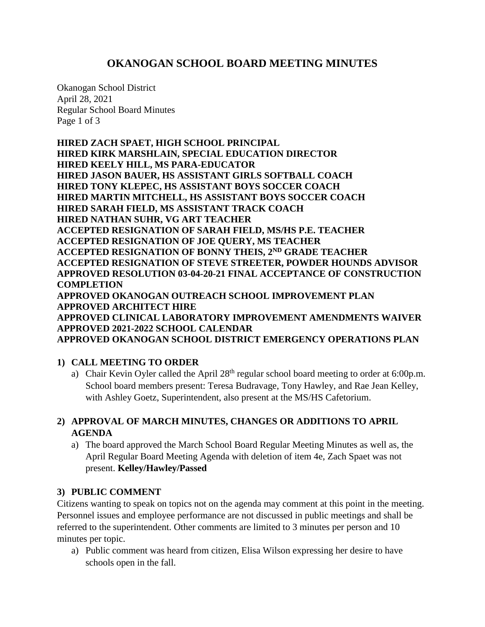# **OKANOGAN SCHOOL BOARD MEETING MINUTES**

Okanogan School District April 28, 2021 Regular School Board Minutes Page 1 of 3

**HIRED ZACH SPAET, HIGH SCHOOL PRINCIPAL HIRED KIRK MARSHLAIN, SPECIAL EDUCATION DIRECTOR HIRED KEELY HILL, MS PARA-EDUCATOR HIRED JASON BAUER, HS ASSISTANT GIRLS SOFTBALL COACH HIRED TONY KLEPEC, HS ASSISTANT BOYS SOCCER COACH HIRED MARTIN MITCHELL, HS ASSISTANT BOYS SOCCER COACH HIRED SARAH FIELD, MS ASSISTANT TRACK COACH HIRED NATHAN SUHR, VG ART TEACHER ACCEPTED RESIGNATION OF SARAH FIELD, MS/HS P.E. TEACHER ACCEPTED RESIGNATION OF JOE QUERY, MS TEACHER ACCEPTED RESIGNATION OF BONNY THEIS, 2ND GRADE TEACHER ACCEPTED RESIGNATION OF STEVE STREETER, POWDER HOUNDS ADVISOR APPROVED RESOLUTION 03-04-20-21 FINAL ACCEPTANCE OF CONSTRUCTION COMPLETION APPROVED OKANOGAN OUTREACH SCHOOL IMPROVEMENT PLAN APPROVED ARCHITECT HIRE APPROVED CLINICAL LABORATORY IMPROVEMENT AMENDMENTS WAIVER APPROVED 2021-2022 SCHOOL CALENDAR**

**APPROVED OKANOGAN SCHOOL DISTRICT EMERGENCY OPERATIONS PLAN**

# **1) CALL MEETING TO ORDER**

a) Chair Kevin Oyler called the April 28<sup>th</sup> regular school board meeting to order at 6:00p.m. School board members present: Teresa Budravage, Tony Hawley, and Rae Jean Kelley, with Ashley Goetz, Superintendent, also present at the MS/HS Cafetorium.

# **2) APPROVAL OF MARCH MINUTES, CHANGES OR ADDITIONS TO APRIL AGENDA**

a) The board approved the March School Board Regular Meeting Minutes as well as, the April Regular Board Meeting Agenda with deletion of item 4e, Zach Spaet was not present. **Kelley/Hawley/Passed**

## **3) PUBLIC COMMENT**

Citizens wanting to speak on topics not on the agenda may comment at this point in the meeting. Personnel issues and employee performance are not discussed in public meetings and shall be referred to the superintendent. Other comments are limited to 3 minutes per person and 10 minutes per topic.

a) Public comment was heard from citizen, Elisa Wilson expressing her desire to have schools open in the fall.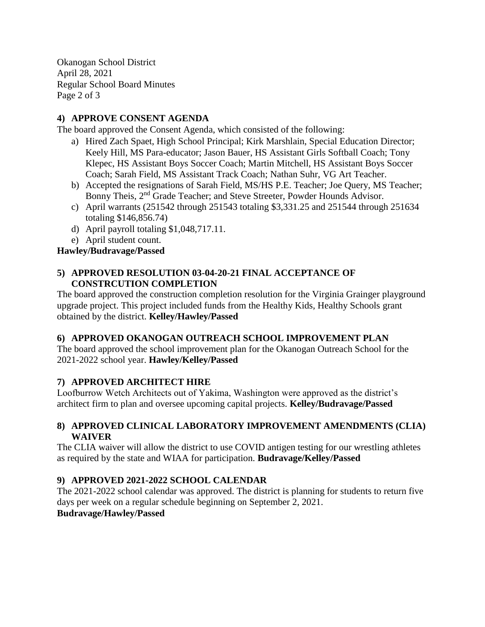Okanogan School District April 28, 2021 Regular School Board Minutes Page 2 of 3

# **4) APPROVE CONSENT AGENDA**

The board approved the Consent Agenda, which consisted of the following:

- a) Hired Zach Spaet, High School Principal; Kirk Marshlain, Special Education Director; Keely Hill, MS Para-educator; Jason Bauer, HS Assistant Girls Softball Coach; Tony Klepec, HS Assistant Boys Soccer Coach; Martin Mitchell, HS Assistant Boys Soccer Coach; Sarah Field, MS Assistant Track Coach; Nathan Suhr, VG Art Teacher.
- b) Accepted the resignations of Sarah Field, MS/HS P.E. Teacher; Joe Query, MS Teacher; Bonny Theis, 2<sup>nd</sup> Grade Teacher; and Steve Streeter, Powder Hounds Advisor.
- c) April warrants (251542 through 251543 totaling \$3,331.25 and 251544 through 251634 totaling \$146,856.74)
- d) April payroll totaling \$1,048,717.11.
- e) April student count.

#### **Hawley/Budravage/Passed**

#### **5) APPROVED RESOLUTION 03-04-20-21 FINAL ACCEPTANCE OF CONSTRCUTION COMPLETION**

The board approved the construction completion resolution for the Virginia Grainger playground upgrade project. This project included funds from the Healthy Kids, Healthy Schools grant obtained by the district. **Kelley/Hawley/Passed**

## **6) APPROVED OKANOGAN OUTREACH SCHOOL IMPROVEMENT PLAN**

The board approved the school improvement plan for the Okanogan Outreach School for the 2021-2022 school year. **Hawley/Kelley/Passed**

## **7) APPROVED ARCHITECT HIRE**

Loofburrow Wetch Architects out of Yakima, Washington were approved as the district's architect firm to plan and oversee upcoming capital projects. **Kelley/Budravage/Passed**

#### **8) APPROVED CLINICAL LABORATORY IMPROVEMENT AMENDMENTS (CLIA) WAIVER**

The CLIA waiver will allow the district to use COVID antigen testing for our wrestling athletes as required by the state and WIAA for participation. **Budravage/Kelley/Passed**

## **9) APPROVED 2021-2022 SCHOOL CALENDAR**

The 2021-2022 school calendar was approved. The district is planning for students to return five days per week on a regular schedule beginning on September 2, 2021.

#### **Budravage/Hawley/Passed**